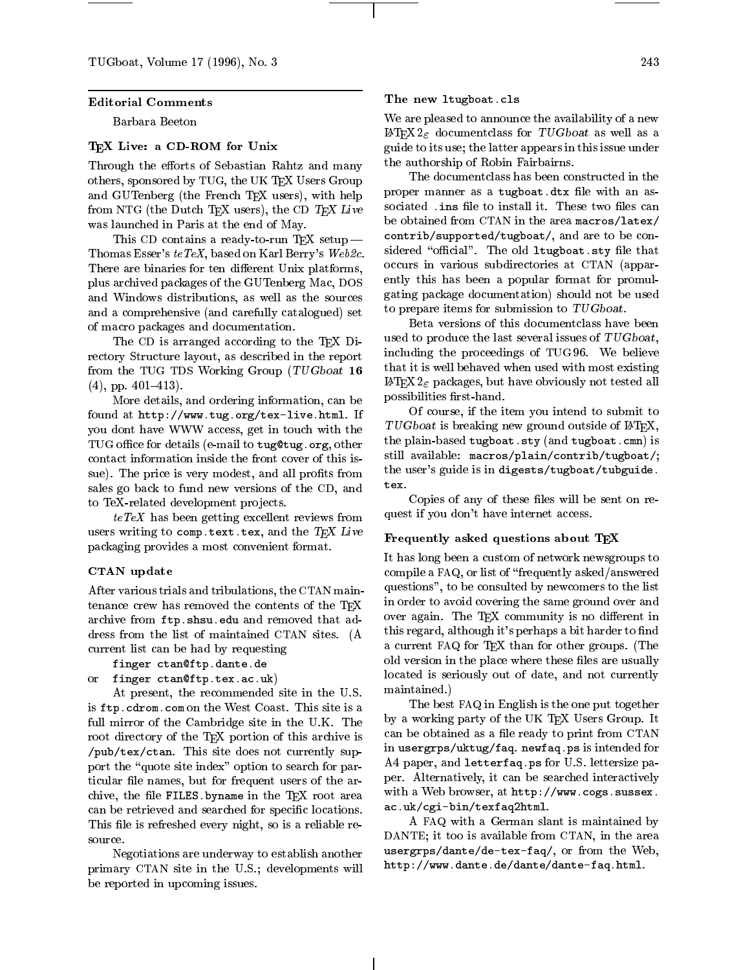#### Editorial Comments

Barbara Beeton

## TEX Live: a CD-ROM for Unix

Through the efforts of Sebastian Rahtz and many others, sponsored by TUG, the UK TEX Users Group and GUTenberg (the French TEX users), with help from NTG (the Dutch T<sub>EX</sub> users), the CD  $T_FX$  Live was launched in Paris at the end of May.

This CD contains a ready-to-run T<sub>E</sub>X setup  $-$ Thomas Esser's teTeX, based on Karl Berry's Web2c. There are binaries for ten different Unix platforms, plus archived packages of the GUTenberg Mac, DOS and Windows distributions, as well as the sources and a comprehensive (and carefully catalogued) set of macro packages and documentation.

The CD is arranged according to the TEX Directory Structure layout, as described in the report from the TUG TDS Working Group (TUGboat 16  $(4)$ , pp. 401-413).

More details, and ordering information, can be found at http://www.tug.org/tex-live.html. If you dont have WWW access, get in touch with the TUG office for details (e-mail to tug@tug.org, other contact information inside the front cover of this issue). The price is very modest, and all profits from sales go back to fund new versions of the CD, and to TeX-related development projects.

teTex de and the group contracts reviews from the contracts of the contracts of the contracts of the contracts users writing to comp.text.tex, and the  $TEX$  Live packaging provides a most convenient format.

### CTAN update

After various trials and tribulations, the CTAN maintenance crew has removed the contents of the TEX archive from ftp.shsu.edu and removed that address from the list of maintained CTAN sites. (A current list can be had by requesting

```
finger ctan@ftp.dante.de
```

```
or finger ctan@ftp.tex.ac.uk)
```
At present, the recommended site in the U.S. is ftp.cdrom.com on the West Coast. This site is a full mirror of the Cambridge site in the U.K. The root directory of the TEX portion of this archive is /pub/tex/ctan. This site does not currently support the "quote site index" option to search for particular file names, but for frequent users of the archive, the file FILES. by name in the  $T_{FX}$  root area can be retrieved and searched for specific locations. This file is refreshed every night, so is a reliable resource

Negotiations are underway to establish another primary CTAN site in the U.S.; developments will be reported in upcoming issues.

### The new ltugboat.cls

We are pleased to announce the availability of a new LAT<sub>E</sub>X2<sub> $\varepsilon$ </sub> documentclass for TUGboat as well as a guide to its use; the latter appears in this issue under the authorship of Robin Fairbairns.

The documentclass has been constructed in the proper manner as a tugboat.dtx file with an associated .ins file to install it. These two files can be obtained from CTAN in the area macros/latex/ contrib/supported/tugboat/, and are to be considered "official". The old  $l$ tugboat.sty file that occurs in various subdirectories at CTAN (apparently this has been a popular format for promulgating package documentation) should not be used to prepare items for submission to  $TUGboat$ .

Beta versions of this documentclass have been used to produce the last several issues of TUGboat, including the proceedings of TUG 96. We believe that it is well behaved when used with most existing LAT<sub>E</sub>X  $2<sub>\varepsilon</sub>$  packages, but have obviously not tested all possibilities first-hand.

Of course, if the item you intend to submit to  $TUGboat$  is breaking new ground outside of  $\triangle^T$ FX, the plain-based tugboat.sty (and tugboat.cmn) is still available: macros/plain/contrib/tugboat/; the user's guide is in digests/tugboat/tubguide.

Copies of any of these files will be sent on request if you don't have internet access.

#### Frequently asked questions about TEX

It has long been a custom of network newsgroups to compile a FAQ, or list of \frequently asked/answered questions", to be consulted by newcomers to the list in order to avoid covering the same ground over and over again. The TEX community is no different in this regard, although it's perhaps a bit harder to find a current FAQ for TEX than for other groups. (The old version in the place where these files are usually located is seriously out of date, and not currently maintained.)

The best FAQ in English is the one put together byaworking party of the UK TEX Users Group. It can be obtained as a file ready to print from CTAN in usergrps/uktug/faq. newfaq.ps is intended for A4 paper, and letterfaq.ps for U.S. lettersize paper. Alternatively, it can be searched interactively with a Web browser, at http://www.cogs.sussex. ac.uk/cgi-bin/texfaq2html.

A FAQ with a German slant is maintained by DANTE; it too is available from CTAN, in the area usergrps/dante/de-tex-faq/, or from the Web, http://www.dante.de/dante/dante-faq.html.